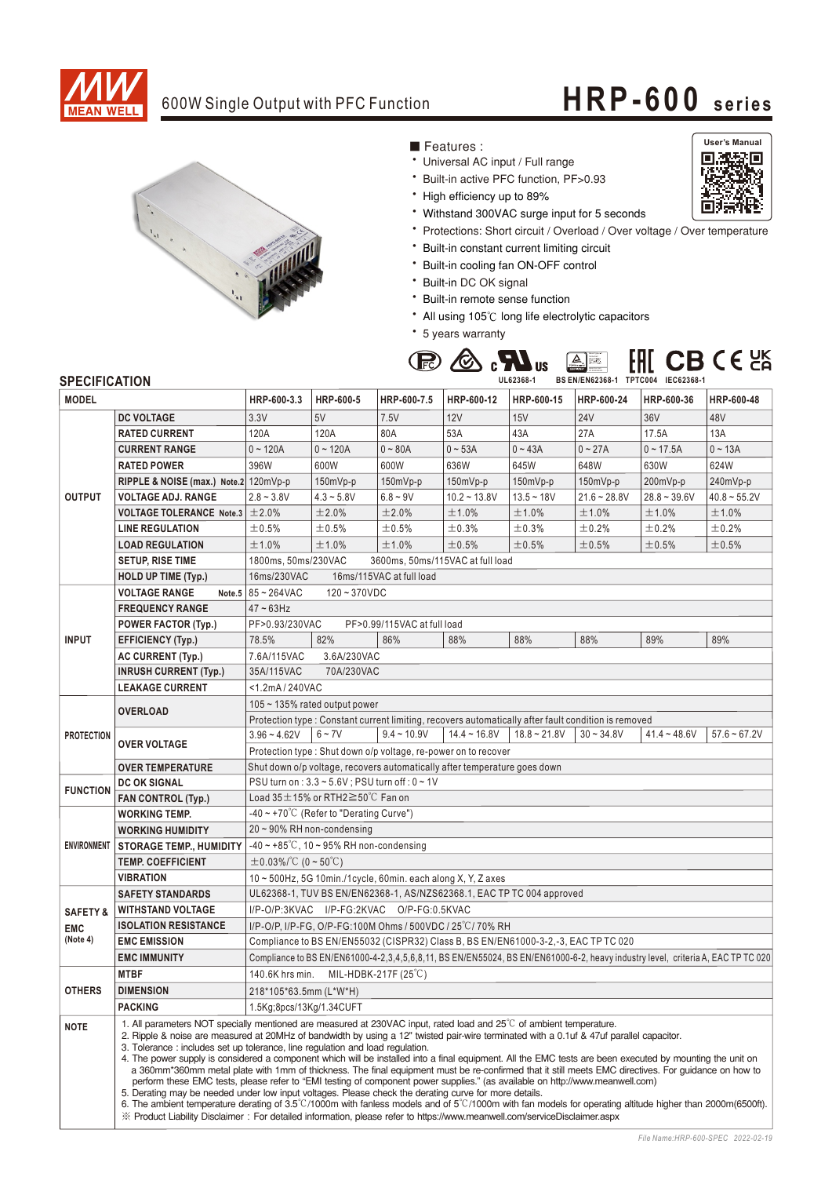

## 600W Single Output with PFC Function **HRP-600** series



■ Features :

- Universal AC input / Full range
- \* Built-in active PFC function, PF>0.93
- High efficiency up to 89%
- Withstand 300VAC surge input for 5 seconds
- \* Protections: Short circuit / Overload / Over voltage / Over temperature
- \* Built-in constant current limiting circuit
- \* Built-in cooling fan ON-OFF control
- \* Built-in DC OK signal
- \* Built-in remote sense function
- All using 105°C long life electrolytic capacitors
- \* 5 years warranty



## **SPECIFICATION**

| <b>MODEL</b>                                  |                                                                                                                                                                                                                                                                                                                                                                                                                                                                                                                                                                                                                                                                                                                                                                                                                                                                                                                                                                                                                                                                                                                                                                                                                                            | HRP-600-3.3                                                                                                                     | HRP-600-5    | HRP-600-7.5   | HRP-600-12     | HRP-600-15     | HRP-600-24     | HRP-600-36     | HRP-600-48     |
|-----------------------------------------------|--------------------------------------------------------------------------------------------------------------------------------------------------------------------------------------------------------------------------------------------------------------------------------------------------------------------------------------------------------------------------------------------------------------------------------------------------------------------------------------------------------------------------------------------------------------------------------------------------------------------------------------------------------------------------------------------------------------------------------------------------------------------------------------------------------------------------------------------------------------------------------------------------------------------------------------------------------------------------------------------------------------------------------------------------------------------------------------------------------------------------------------------------------------------------------------------------------------------------------------------|---------------------------------------------------------------------------------------------------------------------------------|--------------|---------------|----------------|----------------|----------------|----------------|----------------|
|                                               | <b>DC VOLTAGE</b>                                                                                                                                                                                                                                                                                                                                                                                                                                                                                                                                                                                                                                                                                                                                                                                                                                                                                                                                                                                                                                                                                                                                                                                                                          | 3.3V                                                                                                                            | 5V           | 7.5V          | 12V            | 15V            | <b>24V</b>     | 36V            | 48V            |
| <b>OUTPUT</b>                                 | <b>RATED CURRENT</b>                                                                                                                                                                                                                                                                                                                                                                                                                                                                                                                                                                                                                                                                                                                                                                                                                                                                                                                                                                                                                                                                                                                                                                                                                       | 120A                                                                                                                            | 120A         | 80A           | 53A            | 43A            | 27A            | 17.5A          | 13A            |
|                                               | <b>CURRENT RANGE</b>                                                                                                                                                                                                                                                                                                                                                                                                                                                                                                                                                                                                                                                                                                                                                                                                                                                                                                                                                                                                                                                                                                                                                                                                                       | $0 - 120A$                                                                                                                      | $0 - 120A$   | $0 - 80A$     | $0 - 53A$      | $0 - 43A$      | $0 - 27A$      | $0 - 17.5A$    | $0 - 13A$      |
|                                               | <b>RATED POWER</b>                                                                                                                                                                                                                                                                                                                                                                                                                                                                                                                                                                                                                                                                                                                                                                                                                                                                                                                                                                                                                                                                                                                                                                                                                         | 396W                                                                                                                            | 600W         | 600W          | 636W           | 645W           | 648W           | 630W           | 624W           |
|                                               | RIPPLE & NOISE (max.) Note.2 120mVp-p                                                                                                                                                                                                                                                                                                                                                                                                                                                                                                                                                                                                                                                                                                                                                                                                                                                                                                                                                                                                                                                                                                                                                                                                      |                                                                                                                                 | $150mVp-p$   | 150mVp-p      | $150mVp-p$     | 150mVp-p       | 150mVp-p       | 200mVp-p       | 240mVp-p       |
|                                               | <b>VOLTAGE ADJ. RANGE</b>                                                                                                                                                                                                                                                                                                                                                                                                                                                                                                                                                                                                                                                                                                                                                                                                                                                                                                                                                                                                                                                                                                                                                                                                                  | $2.8 - 3.8V$                                                                                                                    | $4.3 - 5.8V$ | $6.8 - 9V$    | $10.2 - 13.8V$ | $13.5 - 18V$   | $21.6 - 28.8V$ | $28.8 - 39.6V$ | $40.8 - 55.2V$ |
|                                               | <b>VOLTAGE TOLERANCE Note.3 <math>\pm 2.0\%</math></b>                                                                                                                                                                                                                                                                                                                                                                                                                                                                                                                                                                                                                                                                                                                                                                                                                                                                                                                                                                                                                                                                                                                                                                                     |                                                                                                                                 | ±2.0%        | ±2.0%         | ±1.0%          | ±1.0%          | ±1.0%          | ±1.0%          | ±1.0%          |
|                                               | <b>LINE REGULATION</b>                                                                                                                                                                                                                                                                                                                                                                                                                                                                                                                                                                                                                                                                                                                                                                                                                                                                                                                                                                                                                                                                                                                                                                                                                     | $\pm 0.5\%$                                                                                                                     | ±0.5%        | $\pm 0.5\%$   | ±0.3%          | $\pm$ 0.3%     | $\pm$ 0.2%     | ±0.2%          | ±0.2%          |
|                                               | <b>LOAD REGULATION</b>                                                                                                                                                                                                                                                                                                                                                                                                                                                                                                                                                                                                                                                                                                                                                                                                                                                                                                                                                                                                                                                                                                                                                                                                                     | ±1.0%                                                                                                                           | ±1.0%        | ±1.0%         | ±0.5%          | ±0.5%          | ±0.5%          | ±0.5%          | ±0.5%          |
|                                               | <b>SETUP, RISE TIME</b>                                                                                                                                                                                                                                                                                                                                                                                                                                                                                                                                                                                                                                                                                                                                                                                                                                                                                                                                                                                                                                                                                                                                                                                                                    | 1800ms, 50ms/230VAC<br>3600ms, 50ms/115VAC at full load                                                                         |              |               |                |                |                |                |                |
|                                               | <b>HOLD UP TIME (Typ.)</b>                                                                                                                                                                                                                                                                                                                                                                                                                                                                                                                                                                                                                                                                                                                                                                                                                                                                                                                                                                                                                                                                                                                                                                                                                 | 16ms/115VAC at full load<br>16ms/230VAC                                                                                         |              |               |                |                |                |                |                |
| <b>INPUT</b>                                  | <b>VOLTAGE RANGE</b>                                                                                                                                                                                                                                                                                                                                                                                                                                                                                                                                                                                                                                                                                                                                                                                                                                                                                                                                                                                                                                                                                                                                                                                                                       | Note.5 $85 - 264$ VAC<br>$120 - 370VDC$                                                                                         |              |               |                |                |                |                |                |
|                                               | <b>FREQUENCY RANGE</b>                                                                                                                                                                                                                                                                                                                                                                                                                                                                                                                                                                                                                                                                                                                                                                                                                                                                                                                                                                                                                                                                                                                                                                                                                     | $47 - 63$ Hz                                                                                                                    |              |               |                |                |                |                |                |
|                                               | POWER FACTOR (Typ.)                                                                                                                                                                                                                                                                                                                                                                                                                                                                                                                                                                                                                                                                                                                                                                                                                                                                                                                                                                                                                                                                                                                                                                                                                        | PF>0.93/230VAC<br>PF>0.99/115VAC at full load                                                                                   |              |               |                |                |                |                |                |
|                                               | <b>EFFICIENCY (Typ.)</b>                                                                                                                                                                                                                                                                                                                                                                                                                                                                                                                                                                                                                                                                                                                                                                                                                                                                                                                                                                                                                                                                                                                                                                                                                   | 78.5%                                                                                                                           | 82%          | 86%           | 88%            | 88%            | 88%            | 89%            | 89%            |
|                                               | <b>AC CURRENT (Typ.)</b>                                                                                                                                                                                                                                                                                                                                                                                                                                                                                                                                                                                                                                                                                                                                                                                                                                                                                                                                                                                                                                                                                                                                                                                                                   | 7.6A/115VAC<br>3.6A/230VAC                                                                                                      |              |               |                |                |                |                |                |
|                                               | <b>INRUSH CURRENT (Typ.)</b>                                                                                                                                                                                                                                                                                                                                                                                                                                                                                                                                                                                                                                                                                                                                                                                                                                                                                                                                                                                                                                                                                                                                                                                                               | 35A/115VAC<br>70A/230VAC                                                                                                        |              |               |                |                |                |                |                |
|                                               | <b>LEAKAGE CURRENT</b>                                                                                                                                                                                                                                                                                                                                                                                                                                                                                                                                                                                                                                                                                                                                                                                                                                                                                                                                                                                                                                                                                                                                                                                                                     | <1.2mA/240VAC                                                                                                                   |              |               |                |                |                |                |                |
| <b>PROTECTION</b>                             | <b>OVERLOAD</b>                                                                                                                                                                                                                                                                                                                                                                                                                                                                                                                                                                                                                                                                                                                                                                                                                                                                                                                                                                                                                                                                                                                                                                                                                            | 105 $\sim$ 135% rated output power                                                                                              |              |               |                |                |                |                |                |
|                                               |                                                                                                                                                                                                                                                                                                                                                                                                                                                                                                                                                                                                                                                                                                                                                                                                                                                                                                                                                                                                                                                                                                                                                                                                                                            | Protection type : Constant current limiting, recovers automatically after fault condition is removed                            |              |               |                |                |                |                |                |
|                                               | <b>OVER VOLTAGE</b>                                                                                                                                                                                                                                                                                                                                                                                                                                                                                                                                                                                                                                                                                                                                                                                                                                                                                                                                                                                                                                                                                                                                                                                                                        | $3.96 - 4.62V$                                                                                                                  | $6 - 7V$     | $9.4 - 10.9V$ | $14.4 - 16.8V$ | $18.8 - 21.8V$ | $30 - 34.8V$   | $41.4 - 48.6V$ | $57.6 - 67.2V$ |
|                                               |                                                                                                                                                                                                                                                                                                                                                                                                                                                                                                                                                                                                                                                                                                                                                                                                                                                                                                                                                                                                                                                                                                                                                                                                                                            | Protection type: Shut down o/p voltage, re-power on to recover                                                                  |              |               |                |                |                |                |                |
|                                               | Shut down o/p voltage, recovers automatically after temperature goes down<br><b>OVER TEMPERATURE</b>                                                                                                                                                                                                                                                                                                                                                                                                                                                                                                                                                                                                                                                                                                                                                                                                                                                                                                                                                                                                                                                                                                                                       |                                                                                                                                 |              |               |                |                |                |                |                |
| <b>FUNCTION</b>                               | DC OK SIGNAL                                                                                                                                                                                                                                                                                                                                                                                                                                                                                                                                                                                                                                                                                                                                                                                                                                                                                                                                                                                                                                                                                                                                                                                                                               | PSU turn on: 3.3 ~ 5.6V; PSU turn off: 0 ~ 1V                                                                                   |              |               |                |                |                |                |                |
|                                               | <b>FAN CONTROL (Typ.)</b>                                                                                                                                                                                                                                                                                                                                                                                                                                                                                                                                                                                                                                                                                                                                                                                                                                                                                                                                                                                                                                                                                                                                                                                                                  | Load $35 \pm 15\%$ or RTH2 $\geq 50\degree$ C Fan on                                                                            |              |               |                |                |                |                |                |
| <b>ENVIRONMENT</b>                            | <b>WORKING TEMP.</b>                                                                                                                                                                                                                                                                                                                                                                                                                                                                                                                                                                                                                                                                                                                                                                                                                                                                                                                                                                                                                                                                                                                                                                                                                       | $-40 \sim +70\degree$ C (Refer to "Derating Curve")                                                                             |              |               |                |                |                |                |                |
|                                               | <b>WORKING HUMIDITY</b>                                                                                                                                                                                                                                                                                                                                                                                                                                                                                                                                                                                                                                                                                                                                                                                                                                                                                                                                                                                                                                                                                                                                                                                                                    | 20~90% RH non-condensing                                                                                                        |              |               |                |                |                |                |                |
|                                               | <b>STORAGE TEMP., HUMIDITY</b>                                                                                                                                                                                                                                                                                                                                                                                                                                                                                                                                                                                                                                                                                                                                                                                                                                                                                                                                                                                                                                                                                                                                                                                                             | $-40 \sim +85^{\circ}$ C, 10 ~ 95% RH non-condensing                                                                            |              |               |                |                |                |                |                |
|                                               | <b>TEMP. COEFFICIENT</b>                                                                                                                                                                                                                                                                                                                                                                                                                                                                                                                                                                                                                                                                                                                                                                                                                                                                                                                                                                                                                                                                                                                                                                                                                   | $\pm$ 0.03%/°C (0~50°C)                                                                                                         |              |               |                |                |                |                |                |
|                                               | <b>VIBRATION</b>                                                                                                                                                                                                                                                                                                                                                                                                                                                                                                                                                                                                                                                                                                                                                                                                                                                                                                                                                                                                                                                                                                                                                                                                                           | 10~500Hz, 5G 10min./1cycle, 60min. each along X, Y, Z axes                                                                      |              |               |                |                |                |                |                |
| <b>SAFETY &amp;</b><br><b>EMC</b><br>(Note 4) | <b>SAFETY STANDARDS</b>                                                                                                                                                                                                                                                                                                                                                                                                                                                                                                                                                                                                                                                                                                                                                                                                                                                                                                                                                                                                                                                                                                                                                                                                                    | UL62368-1, TUV BS EN/EN62368-1, AS/NZS62368.1, EAC TP TC 004 approved                                                           |              |               |                |                |                |                |                |
|                                               | <b>WITHSTAND VOLTAGE</b>                                                                                                                                                                                                                                                                                                                                                                                                                                                                                                                                                                                                                                                                                                                                                                                                                                                                                                                                                                                                                                                                                                                                                                                                                   | I/P-O/P:3KVAC I/P-FG:2KVAC O/P-FG:0.5KVAC                                                                                       |              |               |                |                |                |                |                |
|                                               | <b>ISOLATION RESISTANCE</b>                                                                                                                                                                                                                                                                                                                                                                                                                                                                                                                                                                                                                                                                                                                                                                                                                                                                                                                                                                                                                                                                                                                                                                                                                | I/P-O/P, I/P-FG, O/P-FG:100M Ohms / 500VDC / 25°C/70% RH                                                                        |              |               |                |                |                |                |                |
|                                               | <b>EMC EMISSION</b>                                                                                                                                                                                                                                                                                                                                                                                                                                                                                                                                                                                                                                                                                                                                                                                                                                                                                                                                                                                                                                                                                                                                                                                                                        | Compliance to BS EN/EN55032 (CISPR32) Class B, BS EN/EN61000-3-2,-3, EAC TP TC 020                                              |              |               |                |                |                |                |                |
| <b>OTHERS</b>                                 | <b>EMC IMMUNITY</b>                                                                                                                                                                                                                                                                                                                                                                                                                                                                                                                                                                                                                                                                                                                                                                                                                                                                                                                                                                                                                                                                                                                                                                                                                        | Compliance to BS EN/EN61000-4-2,3,4,5,6,8,11, BS EN/EN55024, BS EN/EN61000-6-2, heavy industry level, criteria A, EAC TP TC 020 |              |               |                |                |                |                |                |
|                                               | <b>MTBF</b>                                                                                                                                                                                                                                                                                                                                                                                                                                                                                                                                                                                                                                                                                                                                                                                                                                                                                                                                                                                                                                                                                                                                                                                                                                | 140.6K hrs min.<br>MIL-HDBK-217F $(25^{\circ}\text{C})$                                                                         |              |               |                |                |                |                |                |
|                                               | <b>DIMENSION</b>                                                                                                                                                                                                                                                                                                                                                                                                                                                                                                                                                                                                                                                                                                                                                                                                                                                                                                                                                                                                                                                                                                                                                                                                                           | 218*105*63.5mm (L*W*H)                                                                                                          |              |               |                |                |                |                |                |
|                                               | <b>PACKING</b>                                                                                                                                                                                                                                                                                                                                                                                                                                                                                                                                                                                                                                                                                                                                                                                                                                                                                                                                                                                                                                                                                                                                                                                                                             | 1.5Kg;8pcs/13Kg/1.34CUFT                                                                                                        |              |               |                |                |                |                |                |
| <b>NOTE</b>                                   | 1. All parameters NOT specially mentioned are measured at 230VAC input, rated load and 25 <sup>°</sup> C of ambient temperature.<br>2. Ripple & noise are measured at 20MHz of bandwidth by using a 12" twisted pair-wire terminated with a 0.1uf & 47uf parallel capacitor.<br>3. Tolerance: includes set up tolerance, line regulation and load regulation.<br>4. The power supply is considered a component which will be installed into a final equipment. All the EMC tests are been executed by mounting the unit on<br>a 360mm*360mm metal plate with 1mm of thickness. The final equipment must be re-confirmed that it still meets EMC directives. For guidance on how to<br>perform these EMC tests, please refer to "EMI testing of component power supplies." (as available on http://www.meanwell.com)<br>5. Derating may be needed under low input voltages. Please check the derating curve for more details.<br>6. The ambient temperature derating of $3.5^{\circ}$ C/1000m with fanless models and of $5^{\circ}$ C/1000m with fan models for operating altitude higher than 2000m(6500ft).<br>X Product Liability Disclaimer: For detailed information, please refer to https://www.meanwell.com/serviceDisclaimer.aspx |                                                                                                                                 |              |               |                |                |                |                |                |